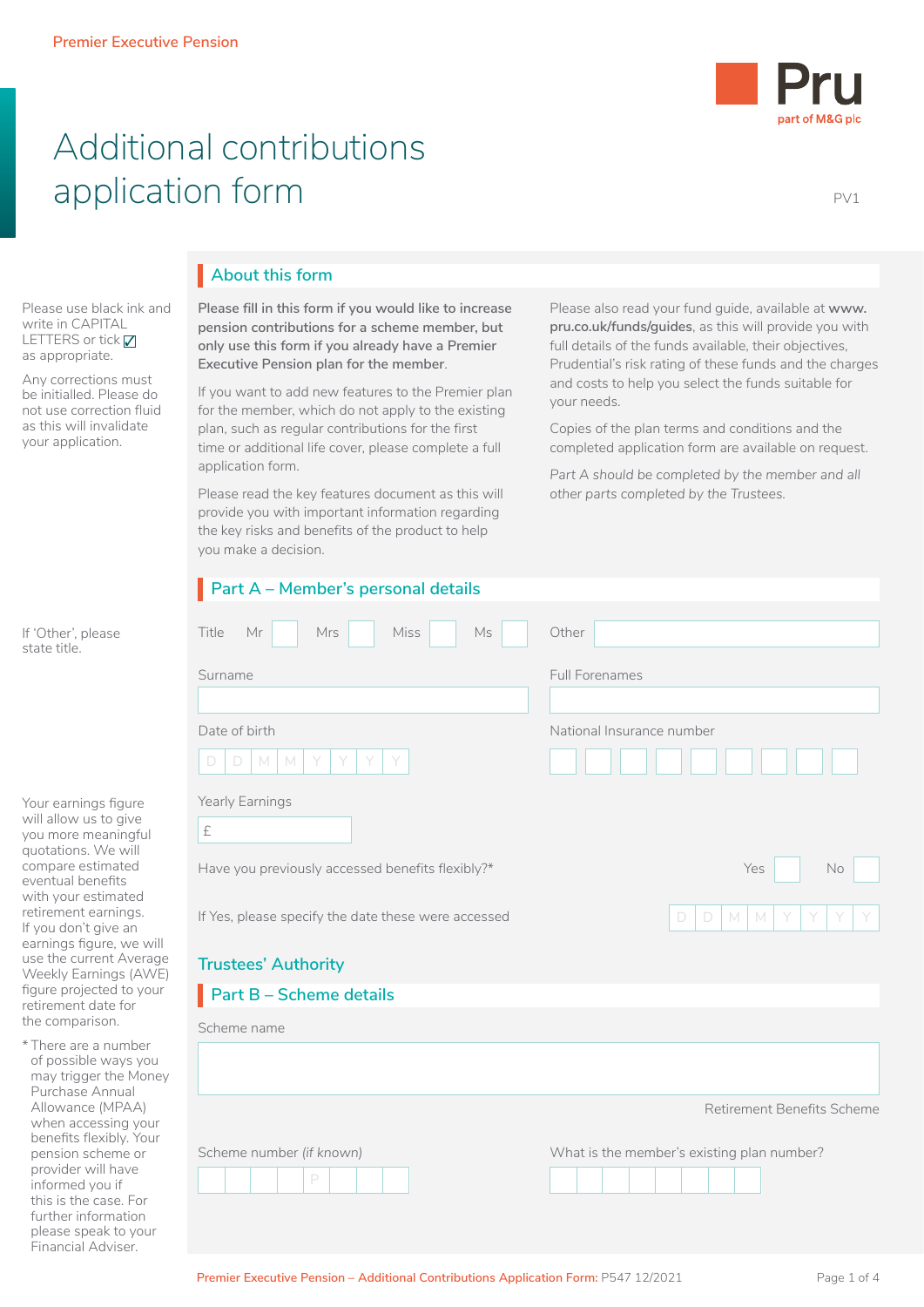

# Additional contributions application form PV1

Please use black ink and write in CAPITAL LETTERS or tick  $\nabla$ as appropriate.

Any corrections must be initialled. Please do not use correction fluid as this will invalidate your application.

please speak to your Financial Adviser.

## **About this form** I

**Please fill in this form if you would like to increase pension contributions for a scheme member, but only use this form if you already have a Premier Executive Pension plan for the member**.

If you want to add new features to the Premier plan for the member, which do not apply to the existing plan, such as regular contributions for the first time or additional life cover, please complete a full application form.

Please read the key features document as this will provide you with important information regarding the key risks and benefits of the product to help you make a decision.

Please also read your fund guide, available at **[www.](http://www.pru.co.uk/funds/guides) [pru.co.uk/funds/guides](http://www.pru.co.uk/funds/guides)**, as this will provide you with full details of the funds available, their objectives, Prudential's risk rating of these funds and the charges and costs to help you select the funds suitable for your needs.

Copies of the plan terms and conditions and the completed application form are available on request.

Part A should be completed by the member and all *other parts completed by the Trustees.*

|                                                                                                                                                                                                                                                       | Part A - Member's personal details                  |                                            |  |  |
|-------------------------------------------------------------------------------------------------------------------------------------------------------------------------------------------------------------------------------------------------------|-----------------------------------------------------|--------------------------------------------|--|--|
| If 'Other', please<br>state title.                                                                                                                                                                                                                    | Title<br>Mr<br><b>Miss</b><br>Ms<br>Mrs             | Other                                      |  |  |
|                                                                                                                                                                                                                                                       | Surname                                             | <b>Full Forenames</b>                      |  |  |
|                                                                                                                                                                                                                                                       | Date of birth<br>$\Box$<br>M<br>M<br>D              | National Insurance number                  |  |  |
| Your earnings figure<br>will allow us to give<br>you more meaningful<br>quotations. We will<br>compare estimated<br>eventual benefits<br>with your estimated<br>retirement earnings.<br>If you don't give an<br>earnings figure, we will              | Yearly Earnings<br>$\pounds$                        |                                            |  |  |
|                                                                                                                                                                                                                                                       | Have you previously accessed benefits flexibly?*    | No<br>Yes                                  |  |  |
|                                                                                                                                                                                                                                                       | If Yes, please specify the date these were accessed | D<br>M<br>M<br>D                           |  |  |
| use the current Average<br>Weekly Earnings (AWE)                                                                                                                                                                                                      | <b>Trustees' Authority</b>                          |                                            |  |  |
| figure projected to your<br>retirement date for<br>the comparison.                                                                                                                                                                                    | $\blacksquare$ Part B – Scheme details              |                                            |  |  |
|                                                                                                                                                                                                                                                       | Scheme name                                         |                                            |  |  |
| * There are a number<br>of possible ways you<br>may trigger the Money<br>Purchase Annual<br>Allowance (MPAA)<br>when accessing your<br>benefits flexibly. Your<br>pension scheme or<br>provider will have<br>informed you if<br>this is the case. For |                                                     |                                            |  |  |
|                                                                                                                                                                                                                                                       |                                                     | Retirement Benefits Scheme                 |  |  |
|                                                                                                                                                                                                                                                       | Scheme number (if known)<br>P                       | What is the member's existing plan number? |  |  |
| further information                                                                                                                                                                                                                                   |                                                     |                                            |  |  |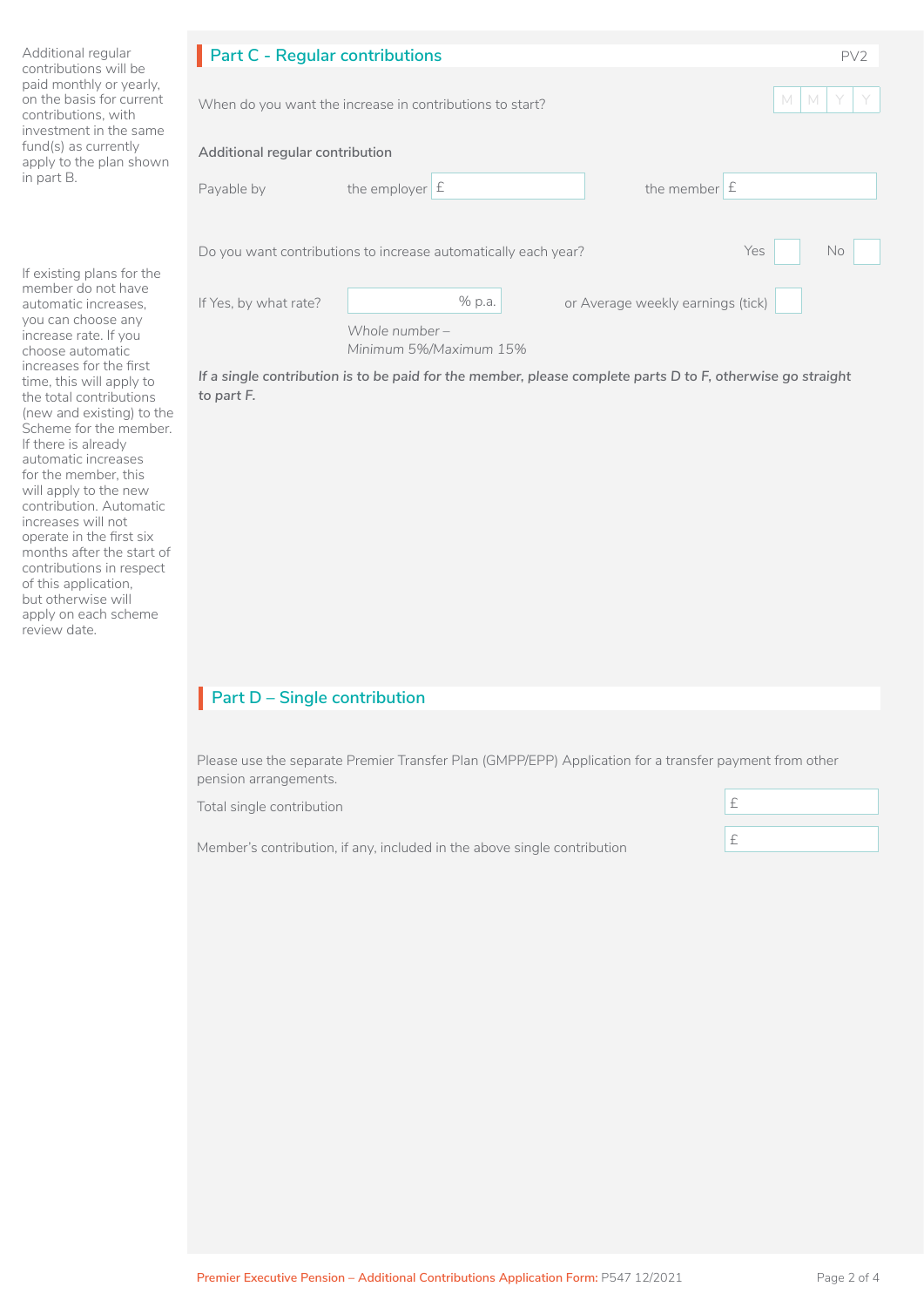| Additional regular<br>contributions will be<br>paid monthly or yearly,<br>on the basis for current<br>contributions, with<br>investment in the same<br>fund(s) as currently<br>apply to the plan shown<br>in part B. | <b>Part C - Regular contributions</b> |                                                                |                                   | PV <sub>2</sub> |
|----------------------------------------------------------------------------------------------------------------------------------------------------------------------------------------------------------------------|---------------------------------------|----------------------------------------------------------------|-----------------------------------|-----------------|
|                                                                                                                                                                                                                      |                                       | When do you want the increase in contributions to start?       |                                   | M<br>M          |
|                                                                                                                                                                                                                      | Additional regular contribution       |                                                                |                                   |                 |
|                                                                                                                                                                                                                      | Payable by                            | the employer $E$                                               | the member $E$                    |                 |
|                                                                                                                                                                                                                      |                                       | Do you want contributions to increase automatically each year? |                                   | Yes<br>No       |
| If existing plans for the<br>member do not have<br>automatic increases.<br>you can choose any<br>increase rate. If you<br>choose automatic                                                                           | If Yes, by what rate?                 | % p.a.<br>Whole number $-$<br>Minimum 5%/Maximum 15%           | or Average weekly earnings (tick) |                 |

*If a single contribution is to be paid for the member, please complete parts D to F, otherwise go straight to part F.*

## **Part D – Single contribution**

Please use the separate Premier Transfer Plan (GMPP/EPP) Application for a transfer payment from other pension arrangements.

Total single contribution

review date.

increases for the first time, this will apply to the total contributions (new and existing) to the Scheme for the member. If there is already automatic increases for the member, this will apply to the new contribution. Automatic increases will not operate in the first six months after the start of contributions in respect of this application, but otherwise will apply on each scheme

Member's contribution, if any, included in the above single contribution

| H.      |  |  |  |
|---------|--|--|--|
| ◠<br>۳. |  |  |  |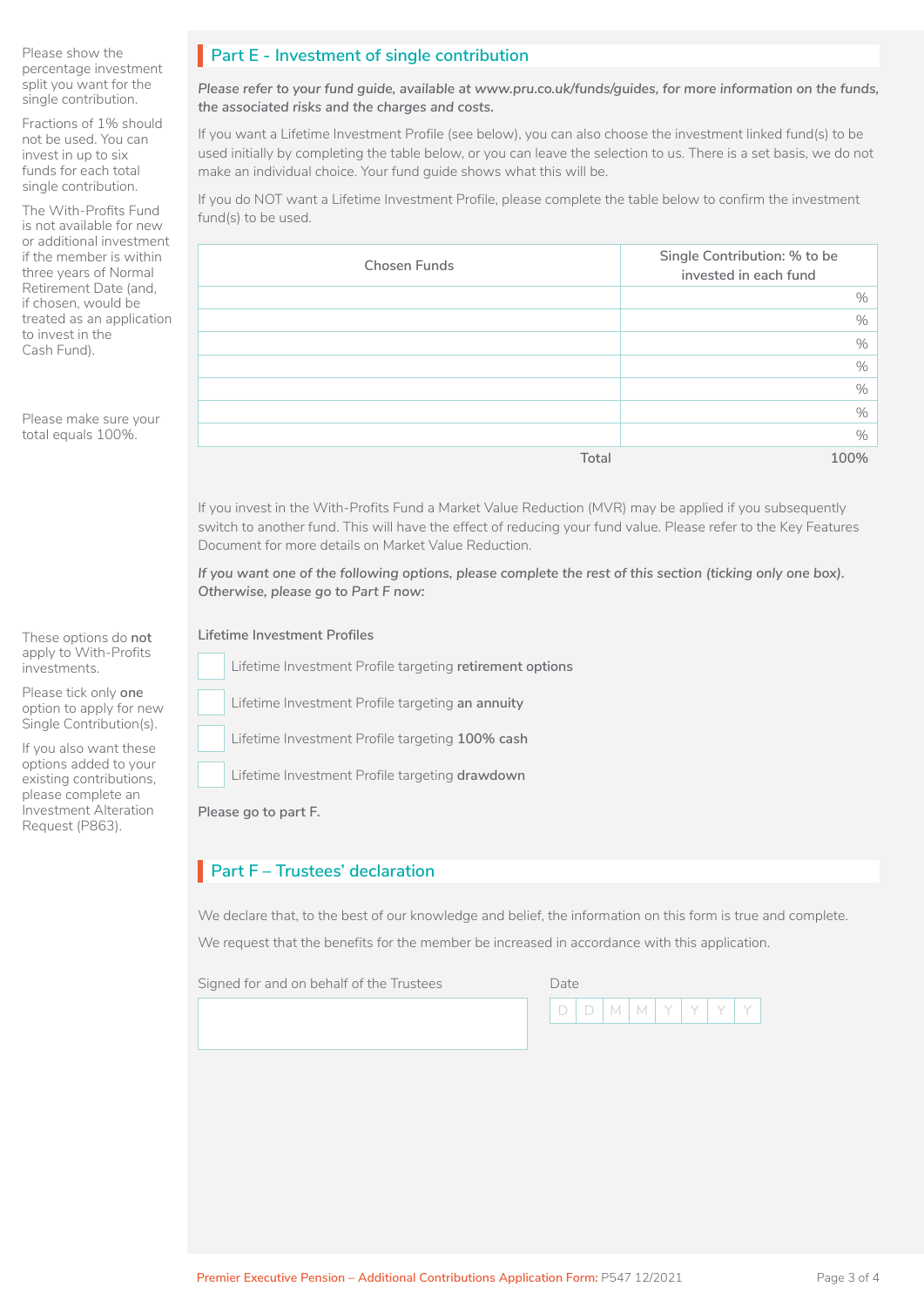Please show the percentage investment split you want for the single contribution.

Fractions of 1% should not be used. You can invest in up to six funds for each total single contribution.

The With-Profits Fund is not available for new or additional investment if the member is within three years of Normal Retirement Date (and, if chosen, would be treated as an application to invest in the Cash Fund).

Please make sure your total equals 100%.

These options do **not** apply to With-Profits investments.

Please tick only **one** option to apply for new Single Contribution(s).

If you also want these options added to your existing contributions, please complete an Investment Alteration Request (P863).

## **Part E - Investment of single contribution**

*Please refer to your fund guide, available at www.pru.co.uk/funds/guides, for more information on the funds, the associated risks and the charges and costs.*

If you want a Lifetime Investment Profile (see below), you can also choose the investment linked fund(s) to be used initially by completing the table below, or you can leave the selection to us. There is a set basis, we do not make an individual choice. Your fund guide shows what this will be.

If you do NOT want a Lifetime Investment Profile, please complete the table below to confirm the investment fund(s) to be used.

| <b>Chosen Funds</b> | Single Contribution: % to be<br>invested in each fund |
|---------------------|-------------------------------------------------------|
|                     | $\%$                                                  |
|                     | $\%$                                                  |
|                     | $\frac{0}{0}$                                         |
|                     | $\frac{0}{0}$                                         |
|                     | $\%$                                                  |
|                     | $\%$                                                  |
|                     | $\frac{0}{0}$                                         |
| Total               | 100%                                                  |

If you invest in the With-Profits Fund a Market Value Reduction (MVR) may be applied if you subsequently switch to another fund. This will have the effect of reducing your fund value. Please refer to the Key Features Document for more details on Market Value Reduction.

*If you want one of the following options, please complete the rest of this section (ticking only one box). Otherwise, please go to Part F now:*

**Lifetime Investment Profiles<br>Lifetime Investment Pro<br>Allen** Lifetime Investment Profile targeting **retirement options**

Lifetime Investment Profile targeting an annuity

**Example 12 Lifetime Investment Profile targeting 100% cash** 

 Lifetime Investment Profile targeting **drawdown**  $\Box$ 

**Please go to part F.**

## **Part F – Trustees' declaration**

We declare that, to the best of our knowledge and belief, the information on this form is true and complete.

We request that the benefits for the member be increased in accordance with this application.

Signed for and on behalf of the Trustees Date